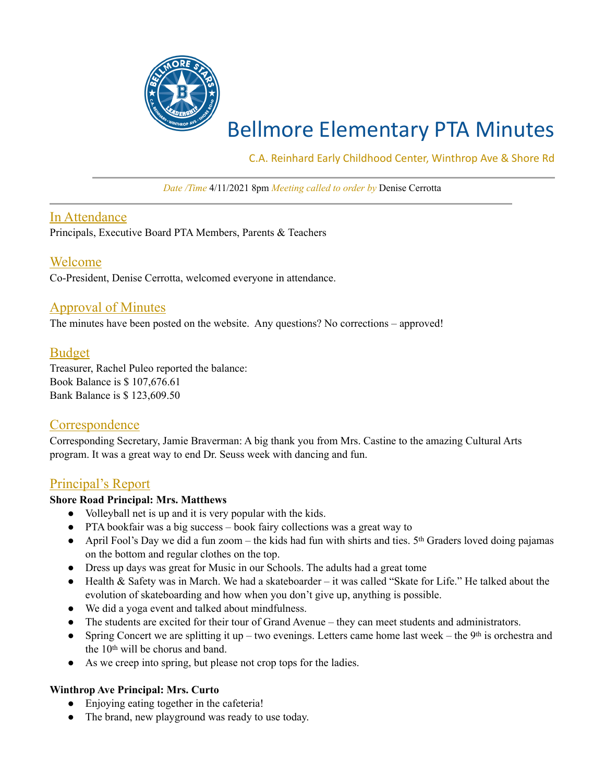

# Bellmore Elementary PTA Minutes

C.A. Reinhard Early Childhood Center, Winthrop Ave & Shore Rd

*Date /Time* 4/11/2021 8pm *Meeting called to order by* Denise Cerrotta

## In Attendance

Principals, Executive Board PTA Members, Parents & Teachers

## Welcome

Co-President, Denise Cerrotta, welcomed everyone in attendance.

## Approval of Minutes

The minutes have been posted on the website. Any questions? No corrections – approved!

## Budget

Treasurer, Rachel Puleo reported the balance: Book Balance is \$ 107,676.61 Bank Balance is \$ 123,609.50

## **Correspondence**

Corresponding Secretary, Jamie Braverman: A big thank you from Mrs. Castine to the amazing Cultural Arts program. It was a great way to end Dr. Seuss week with dancing and fun.

## Principal's Report

#### **Shore Road Principal: Mrs. Matthews**

- Volleyball net is up and it is very popular with the kids.
- PTA bookfair was a big success book fairy collections was a great way to
- April Fool's Day we did a fun zoom the kids had fun with shirts and ties.  $5<sup>th</sup>$  Graders loved doing pajamas on the bottom and regular clothes on the top.
- Dress up days was great for Music in our Schools. The adults had a great tome
- Health & Safety was in March. We had a skateboarder it was called "Skate for Life." He talked about the evolution of skateboarding and how when you don't give up, anything is possible.
- We did a yoga event and talked about mindfulness.
- The students are excited for their tour of Grand Avenue they can meet students and administrators.
- Spring Concert we are splitting it up two evenings. Letters came home last week the 9<sup>th</sup> is orchestra and the 10th will be chorus and band.
- As we creep into spring, but please not crop tops for the ladies.

#### **Winthrop Ave Principal: Mrs. Curto**

- Enjoying eating together in the cafeteria!
- The brand, new playground was ready to use today.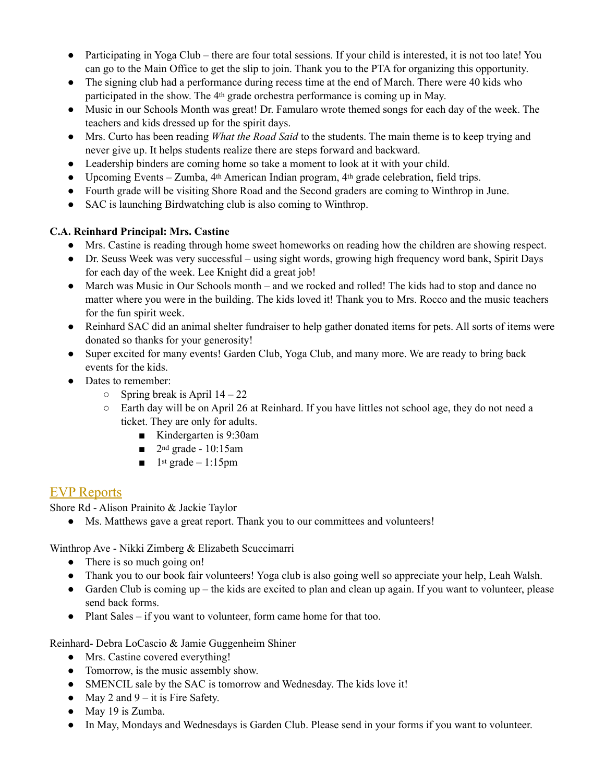- Participating in Yoga Club there are four total sessions. If your child is interested, it is not too late! You can go to the Main Office to get the slip to join. Thank you to the PTA for organizing this opportunity.
- The signing club had a performance during recess time at the end of March. There were 40 kids who participated in the show. The 4th grade orchestra performance is coming up in May.
- Music in our Schools Month was great! Dr. Famularo wrote themed songs for each day of the week. The teachers and kids dressed up for the spirit days.
- Mrs. Curto has been reading *What the Road Said* to the students. The main theme is to keep trying and never give up. It helps students realize there are steps forward and backward.
- Leadership binders are coming home so take a moment to look at it with your child.
- Upcoming Events Zumba, 4th American Indian program, 4th grade celebration, field trips.
- Fourth grade will be visiting Shore Road and the Second graders are coming to Winthrop in June.
- SAC is launching Birdwatching club is also coming to Winthrop.

## **C.A. Reinhard Principal: Mrs. Castine**

- Mrs. Castine is reading through home sweet homeworks on reading how the children are showing respect.
- Dr. Seuss Week was very successful using sight words, growing high frequency word bank, Spirit Days for each day of the week. Lee Knight did a great job!
- March was Music in Our Schools month and we rocked and rolled! The kids had to stop and dance no matter where you were in the building. The kids loved it! Thank you to Mrs. Rocco and the music teachers for the fun spirit week.
- Reinhard SAC did an animal shelter fundraiser to help gather donated items for pets. All sorts of items were donated so thanks for your generosity!
- Super excited for many events! Garden Club, Yoga Club, and many more. We are ready to bring back events for the kids.
- Dates to remember:
	- $\circ$  Spring break is April 14 22
	- Earth day will be on April 26 at Reinhard. If you have littles not school age, they do not need a ticket. They are only for adults.
		- Kindergarten is 9:30am
		- $\Box$  2<sup>nd</sup> grade 10:15am
		- $\blacksquare$  1st grade 1:15pm

## EVP Reports

Shore Rd - Alison Prainito & Jackie Taylor

● Ms. Matthews gave a great report. Thank you to our committees and volunteers!

Winthrop Ave - Nikki Zimberg & Elizabeth Scuccimarri

- There is so much going on!
- Thank you to our book fair volunteers! Yoga club is also going well so appreciate your help, Leah Walsh.
- Garden Club is coming up the kids are excited to plan and clean up again. If you want to volunteer, please send back forms.
- Plant Sales if you want to volunteer, form came home for that too.

Reinhard- Debra LoCascio & Jamie Guggenheim Shiner

- Mrs. Castine covered everything!
- Tomorrow, is the music assembly show.
- SMENCIL sale by the SAC is tomorrow and Wednesday. The kids love it!
- May 2 and  $9 it$  is Fire Safety.
- May 19 is Zumba.
- In May, Mondays and Wednesdays is Garden Club. Please send in your forms if you want to volunteer.